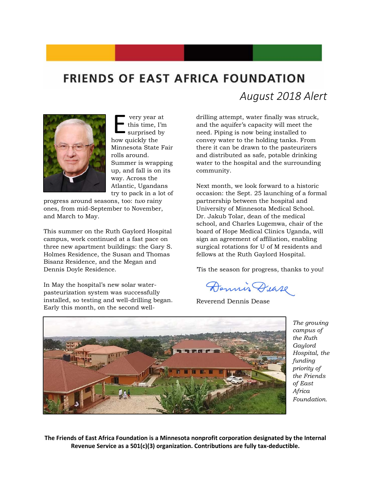## **FRIENDS OF EAST AFRICA FOUNDATION**



very year at this time, I'm surprised by very year a<br>this time, I<br>surprised b<br>how quickly the Minnesota State Fair rolls around. Summer is wrapping up, and fall is on its way. Across the Atlantic, Ugandans try to pack in a lot of

progress around seasons, too: *two* rainy ones, from mid-September to November, and March to May.

This summer on the Ruth Gaylord Hospital campus, work continued at a fast pace on three new apartment buildings: the Gary S. Holmes Residence, the Susan and Thomas Bisanz Residence, and the Megan and Dennis Doyle Residence.

In May the hospital's new solar waterpasteurization system was successfully installed, so testing and well-drilling began. Early this month, on the second well*August 2018 Alert*

drilling attempt, water finally was struck, and the aquifer's capacity will meet the need. Piping is now being installed to convey water to the holding tanks. From there it can be drawn to the pasteurizers and distributed as safe, potable drinking water to the hospital and the surrounding community.

Next month, we look forward to a historic occasion: the Sept. 25 launching of a formal partnership between the hospital and University of Minnesota Medical School. Dr. Jakub Tolar, dean of the medical school, and Charles Lugemwa, chair of the board of Hope Medical Clinics Uganda, will sign an agreement of affiliation, enabling surgical rotations for U of M residents and fellows at the Ruth Gaylord Hospital.

'Tis the season for progress, thanks to you!

Dennis Dease

Reverend Dennis Dease



*The growing campus of the Ruth Gaylord Hospital, the funding priority of the Friends of East Africa Foundation.*

**The Friends of East Africa Foundation is a Minnesota nonprofit corporation designated by the Internal Revenue Service as a 501(c)(3) organization. Contributions are fully tax-deductible.**